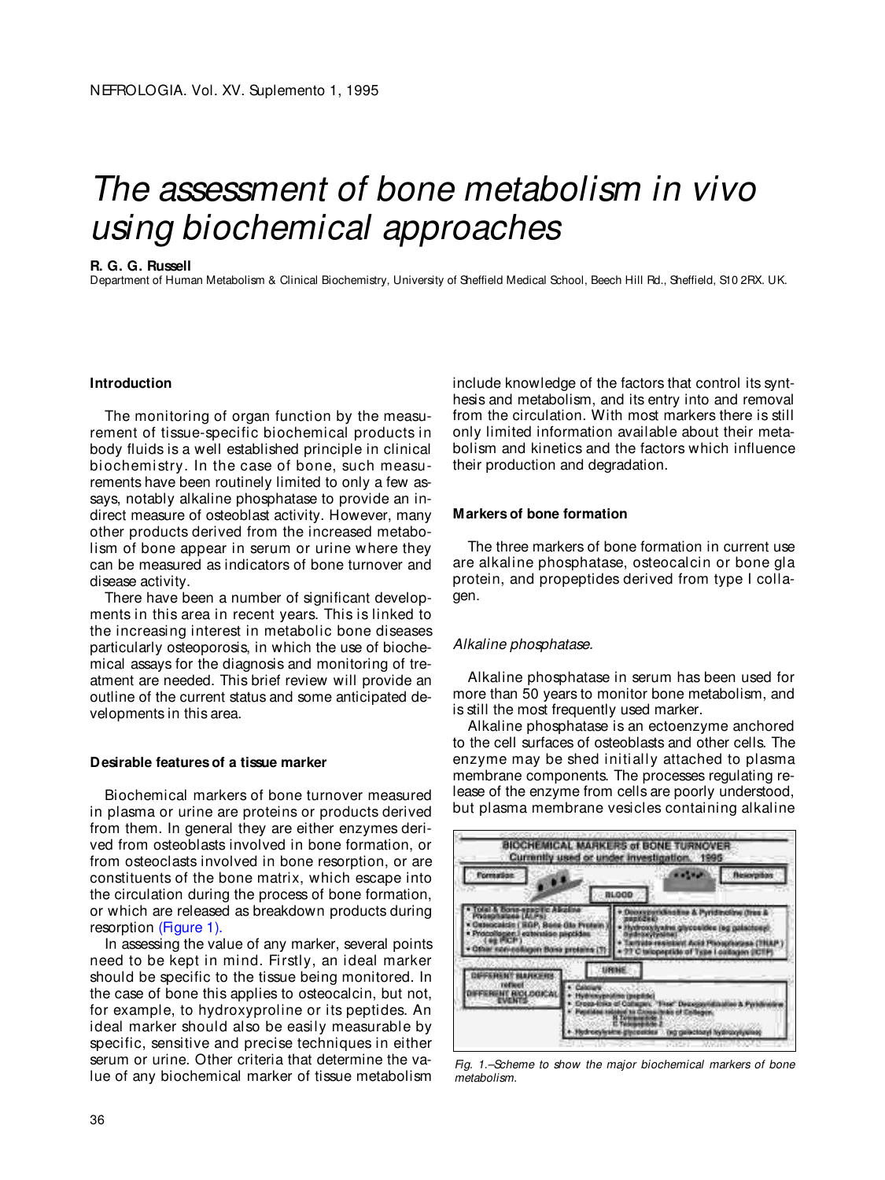# The assessment of bone metabolism in vivo using biochemical approaches

## **R. G. G. Russell**

Department of Human Metabolism & Clinical Biochemistry, University of Sheffield Medical School, Beech Hill Rd., Sheffield, S10 2RX. UK.

## **Introduction**

The monitoring of organ function by the measurement of tissue-specific biochemical products in body fluids is a well established principle in clinical biochemistry. In the case of bone, such measurements have been routinely limited to only a few assays, notably alkaline phosphatase to provide an indirect measure of osteoblast activity. However, many other products derived from the increased metabolism of bone appear in serum or urine where they can be measured as indicators of bone turnover and disease activity.

There have been a number of significant developments in this area in recent years. This is linked to the increasing interest in metabolic bone diseases particularly osteoporosis, in which the use of biochemical assays for the diagnosis and monitoring of treatment are needed. This brief review will provide an outline of the current status and some anticipated developments in this area.

#### **Desirable features of a tissue marker**

Biochemical markers of bone turnover measured in plasma or urine are proteins or products derived from them. In general they are either enzymes derived from osteoblasts involved in bone formation, or from osteoclasts involved in bone resorption, or are constituents of the bone matrix, which escape into the circulation during the process of bone formation, or which are released as breakdown products during resorption (Figure 1).

In assessing the value of any marker, several points need to be kept in mind. Firstly, an ideal marker should be specific to the tissue being monitored. In the case of bone this applies to osteocalcin, but not, for example, to hydroxyproline or its peptides. An ideal marker should also be easily measurable by specific, sensitive and precise techniques in either serum or urine. Other criteria that determine the value of any biochemical marker of tissue metabolism

include knowledge of the factors that control its synthesis and metabolism, and its entry into and removal from the circulation. With most markers there is still only limited information available about their metabolism and kinetics and the factors which influence their production and degradation.

#### **Markers of bone formation**

The three markers of bone formation in current use are alkaline phosphatase, osteocalcin or bone gla protein, and propeptides derived from type I collagen.

### Alkaline phosphatase.

Alkaline phosphatase in serum has been used for more than 50 years to monitor bone metabolism, and is still the most frequently used marker.

Alkaline phosphatase is an ectoenzyme anchored to the cell surfaces of osteoblasts and other cells. The enzyme may be shed initially attached to plasma membrane components. The processes regulating release of the enzyme from cells are poorly understood, but plasma membrane vesicles containing alkaline



Fig. 1.–Scheme to show the major biochemical markers of bone metabolism.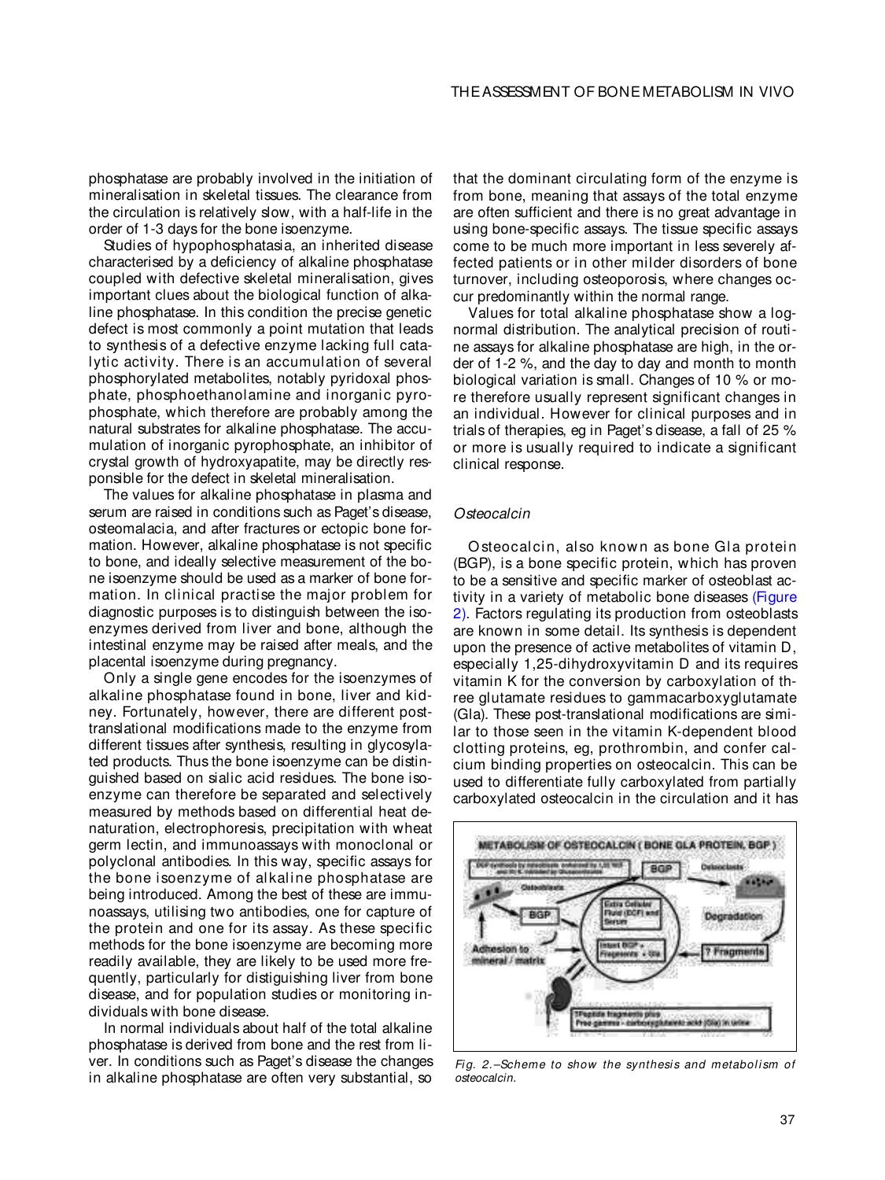phosphatase are probably involved in the initiation of mineralisation in skeletal tissues. The clearance from the circulation is relatively slow, with a half-life in the order of 1-3 days for the bone isoenzyme.

Studies of hypophosphatasia, an inherited disease characterised by a deficiency of alkaline phosphatase coupled with defective skeletal mineralisation, gives important clues about the biological function of alkaline phosphatase. In this condition the precise genetic defect is most commonly a point mutation that leads to synthesis of a defective enzyme lacking full catalytic activity. There is an accumulation of several phosphorylated metabolites, notably pyridoxal phosphate, phosphoethanolamine and inorganic pyrophosphate, which therefore are probably among the natural substrates for alkaline phosphatase. The accumulation of inorganic pyrophosphate, an inhibitor of crystal growth of hydroxyapatite, may be directly responsible for the defect in skeletal mineralisation.

The values for alkaline phosphatase in plasma and serum are raised in conditions such as Paget's disease, osteomalacia, and after fractures or ectopic bone formation. However, alkaline phosphatase is not specific to bone, and ideally selective measurement of the bone isoenzyme should be used as a marker of bone formation. In clinical practise the major problem for diagnostic purposes is to distinguish between the isoenzymes derived from liver and bone, although the intestinal enzyme may be raised after meals, and the placental isoenzyme during pregnancy.

Only a single gene encodes for the isoenzymes of alkaline phosphatase found in bone, liver and kidney. Fortunately, however, there are different posttranslational modifications made to the enzyme from different tissues after synthesis, resulting in glycosylated products. Thus the bone isoenzyme can be distinguished based on sialic acid residues. The bone isoenzyme can therefore be separated and selectively measured by methods based on differential heat denaturation, electrophoresis, precipitation with wheat germ lectin, and immunoassays with monoclonal or polyclonal antibodies. In this way, specific assays for the bone isoenzyme of alkaline phosphatase are being introduced. Among the best of these are immunoassays, utilising two antibodies, one for capture of the protein and one for its assay. As these specific methods for the bone isoenzyme are becoming more readily available, they are likely to be used more frequently, particularly for distiguishing liver from bone disease, and for population studies or monitoring individuals with bone disease.

In normal individuals about half of the total alkaline phosphatase is derived from bone and the rest from liver. In conditions such as Paget's disease the changes in alkaline phosphatase are often very substantial, so

that the dominant circulating form of the enzyme is from bone, meaning that assays of the total enzyme are often sufficient and there is no great advantage in using bone-specific assays. The tissue specific assays come to be much more important in less severely affected patients or in other milder disorders of bone turnover, including osteoporosis, where changes occur predominantly within the normal range.

Values for total alkaline phosphatase show a lognormal distribution. The analytical precision of routine assays for alkaline phosphatase are high, in the order of 1-2 %, and the day to day and month to month biological variation is small. Changes of 10 % or more therefore usually represent significant changes in an individual. However for clinical purposes and in trials of therapies, eg in Paget's disease, a fall of 25 % or more is usually required to indicate a significant clinical response.

## Osteocalcin

O steocalcin, also known as bone Gla protein (BGP), is a bone specific protein, which has proven to be a sensitive and specific marker of osteoblast activity in a variety of metabolic bone diseases (Figure 2). Factors regulating its production from osteoblasts are known in some detail. Its synthesis is dependent upon the presence of active metabolites of vitamin D, especially 1,25-dihydroxyvitamin D and its requires vitamin K for the conversion by carboxylation of three glutamate residues to gammacarboxyglutamate (Gla). These post-translational modifications are similar to those seen in the vitamin K-dependent blood clotting proteins, eg, prothrombin, and confer calcium binding properties on osteocalcin. This can be used to differentiate fully carboxylated from partially carboxylated osteocalcin in the circulation and it has



Fig. 2.–Scheme to show the synthesis and metabolism of osteocalcin.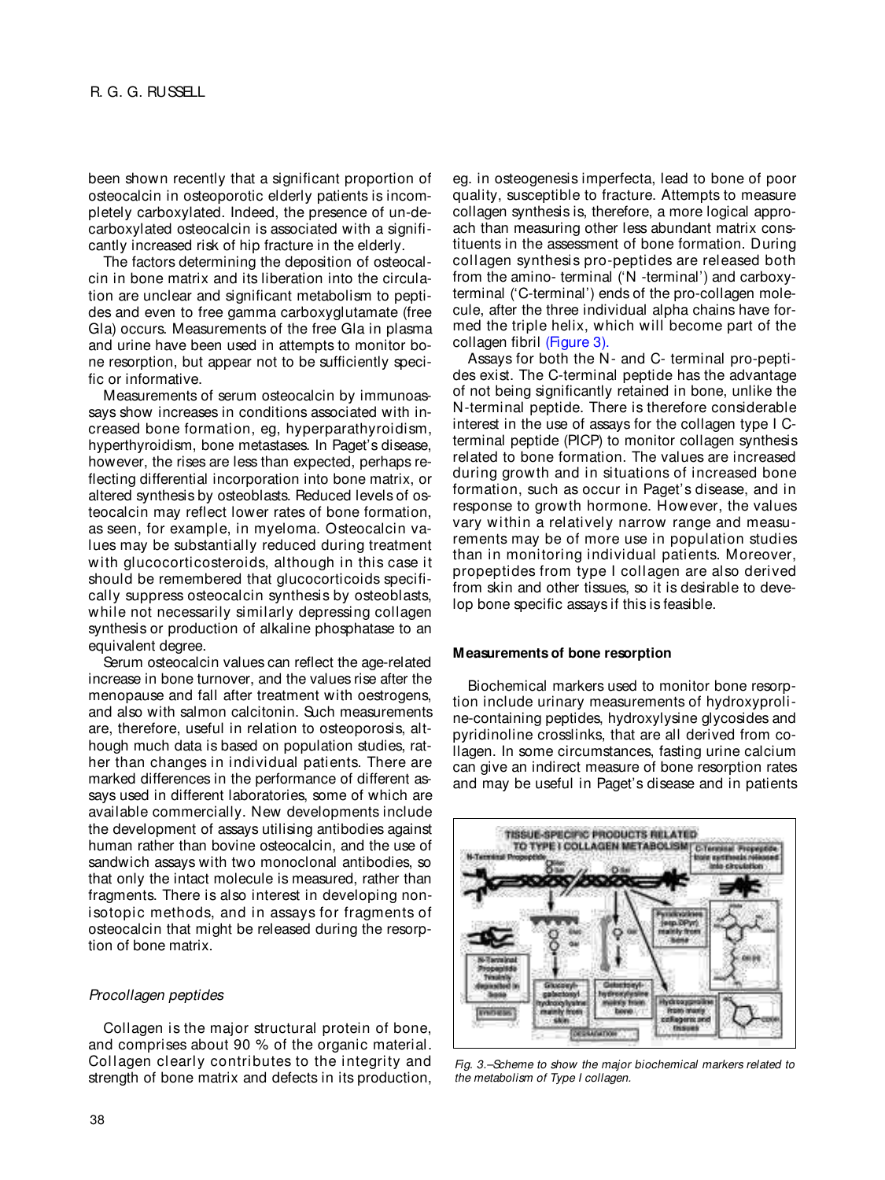been shown recently that a significant proportion of osteocalcin in osteoporotic elderly patients is incompletely carboxylated. Indeed, the presence of un-decarboxylated osteocalcin is associated with a significantly increased risk of hip fracture in the elderly.

The factors determining the deposition of osteocalcin in bone matrix and its liberation into the circulation are unclear and significant metabolism to peptides and even to free gamma carboxyglutamate (free Gla) occurs. Measurements of the free Gla in plasma and urine have been used in attempts to monitor bone resorption, but appear not to be sufficiently specific or informative.

Measurements of serum osteocalcin by immunoassays show increases in conditions associated with increased bone formation, eg, hyperparathyroidism, hyperthyroidism, bone metastases. In Paget's disease, however, the rises are less than expected, perhaps reflecting differential incorporation into bone matrix, or altered synthesis by osteoblasts. Reduced levels of osteocalcin may reflect lower rates of bone formation, as seen, for example, in myeloma. Osteocalcin values may be substantially reduced during treatment with glucocorticosteroids, although in this case it should be remembered that glucocorticoids specifically suppress osteocalcin synthesis by osteoblasts, while not necessarily similarly depressing collagen synthesis or production of alkaline phosphatase to an equivalent degree.

Serum osteocalcin values can reflect the age-related increase in bone turnover, and the values rise after the menopause and fall after treatment with oestrogens, and also with salmon calcitonin. Such measurements are, therefore, useful in relation to osteoporosis, although much data is based on population studies, rather than changes in individual patients. There are marked differences in the performance of different assays used in different laboratories, some of which are available commercially. New developments include the development of assays utilising antibodies against human rather than bovine osteocalcin, and the use of sandwich assays with two monoclonal antibodies, so that only the intact molecule is measured, rather than fragments. There is also interest in developing nonisotopic methods, and in assays for fragments of osteocalcin that might be released during the resorption of bone matrix.

## Procollagen peptides

Collagen is the major structural protein of bone, and comprises about 90 % of the organic material. Collagen clearly contributes to the integrity and strength of bone matrix and defects in its production,

eg. in osteogenesis imperfecta, lead to bone of poor quality, susceptible to fracture. Attempts to measure collagen synthesis is, therefore, a more logical approach than measuring other less abundant matrix constituents in the assessment of bone formation. During collagen synthesis pro-peptides are released both from the amino- terminal ('N -terminal') and carboxyterminal ('C-terminal') ends of the pro-collagen molecule, after the three individual alpha chains have formed the triple helix, which will become part of the collagen fibril (Figure 3).

Assays for both the N- and C- terminal pro-peptides exist. The C-terminal peptide has the advantage of not being significantly retained in bone, unlike the N-terminal peptide. There is therefore considerable interest in the use of assays for the collagen type I Cterminal peptide (PICP) to monitor collagen synthesis related to bone formation. The values are increased during growth and in situations of increased bone formation, such as occur in Paget's disease, and in response to growth hormone. However, the values vary within a relatively narrow range and measurements may be of more use in population studies than in monitoring individual patients. Moreover, propeptides from type I collagen are also derived from skin and other tissues, so it is desirable to develop bone specific assays if this is feasible.

### **Measurements of bone resorption**

Biochemical markers used to monitor bone resorption include urinary measurements of hydroxyproline-containing peptides, hydroxylysine glycosides and pyridinoline crosslinks, that are all derived from collagen. In some circumstances, fasting urine calcium can give an indirect measure of bone resorption rates and may be useful in Paget's disease and in patients



Fig. 3.–Scheme to show the major biochemical markers related to the metabolism of Type I collagen.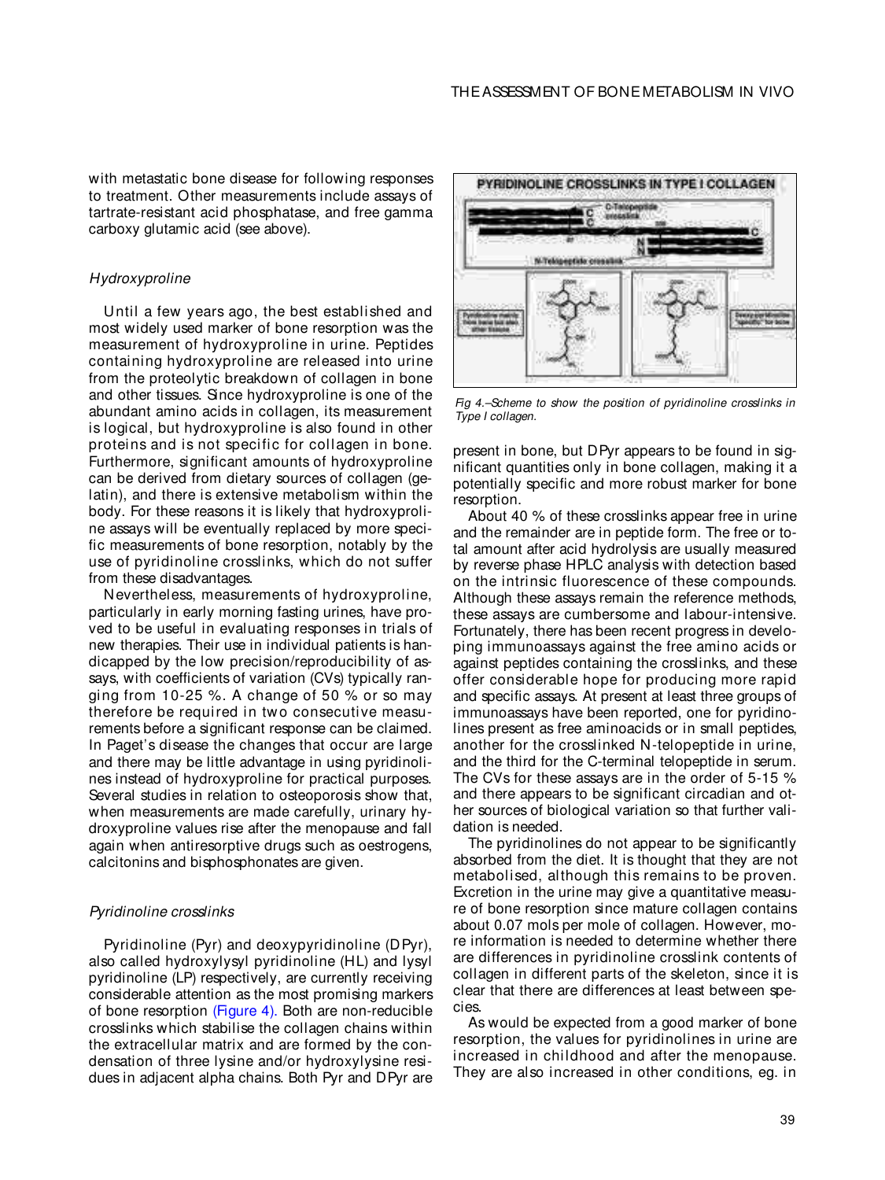with metastatic bone disease for following responses to treatment. Other measurements include assays of tartrate-resistant acid phosphatase, and free gamma carboxy glutamic acid (see above).

## Hydroxyproline

Until a few years ago, the best established and most widely used marker of bone resorption was the measurement of hydroxyproline in urine. Peptides containing hydroxyproline are released into urine from the proteolytic breakdown of collagen in bone and other tissues. Since hydroxyproline is one of the abundant amino acids in collagen, its measurement is logical, but hydroxyproline is also found in other proteins and is not specific for collagen in bone. Furthermore, significant amounts of hydroxyproline can be derived from dietary sources of collagen (gelatin), and there is extensive metabolism within the body. For these reasons it is likely that hydroxyproline assays will be eventually replaced by more specific measurements of bone resorption, notably by the use of pyridinoline crosslinks, which do not suffer from these disadvantages.

Nevertheless, measurements of hydroxyproline, particularly in early morning fasting urines, have proved to be useful in evaluating responses in trials of new therapies. Their use in individual patients is handicapped by the low precision/reproducibility of assays, with coefficients of variation (CVs) typically ranging from 10-25 %. A change of 50 % or so may therefore be required in two consecutive measurements before a significant response can be claimed. In Paget's disease the changes that occur are large and there may be little advantage in using pyridinolines instead of hydroxyproline for practical purposes. Several studies in relation to osteoporosis show that, when measurements are made carefully, urinary hydroxyproline values rise after the menopause and fall again when antiresorptive drugs such as oestrogens, calcitonins and bisphosphonates are given.

## Pyridinoline crosslinks

Pyridinoline (Pyr) and deoxypyridinoline (DPyr), also called hydroxylysyl pyridinoline (HL) and lysyl pyridinoline (LP) respectively, are currently receiving considerable attention as the most promising markers of bone resorption (Figure 4). Both are non-reducible crosslinks which stabilise the collagen chains within the extracellular matrix and are formed by the condensation of three lysine and/or hydroxylysine residues in adjacent alpha chains. Both Pyr and DPyr are



Fig 4.–Scheme to show the position of pyridinoline crosslinks in Type I collagen.

present in bone, but DPyr appears to be found in significant quantities only in bone collagen, making it a potentially specific and more robust marker for bone resorption.

About 40 % of these crosslinks appear free in urine and the remainder are in peptide form. The free or total amount after acid hydrolysis are usually measured by reverse phase HPLC analysis with detection based on the intrinsic fluorescence of these compounds. Although these assays remain the reference methods, these assays are cumbersome and labour-intensive. Fortunately, there has been recent progress in developing immunoassays against the free amino acids or against peptides containing the crosslinks, and these offer considerable hope for producing more rapid and specific assays. At present at least three groups of immunoassays have been reported, one for pyridinolines present as free aminoacids or in small peptides, another for the crosslinked N-telopeptide in urine, and the third for the C-terminal telopeptide in serum. The CVs for these assays are in the order of 5-15 % and there appears to be significant circadian and other sources of biological variation so that further validation is needed.

The pyridinolines do not appear to be significantly absorbed from the diet. It is thought that they are not metabolised, although this remains to be proven. Excretion in the urine may give a quantitative measure of bone resorption since mature collagen contains about 0.07 mols per mole of collagen. However, more information is needed to determine whether there are differences in pyridinoline crosslink contents of collagen in different parts of the skeleton, since it is clear that there are differences at least between species.

As would be expected from a good marker of bone resorption, the values for pyridinolines in urine are increased in childhood and after the menopause. They are also increased in other conditions, eg. in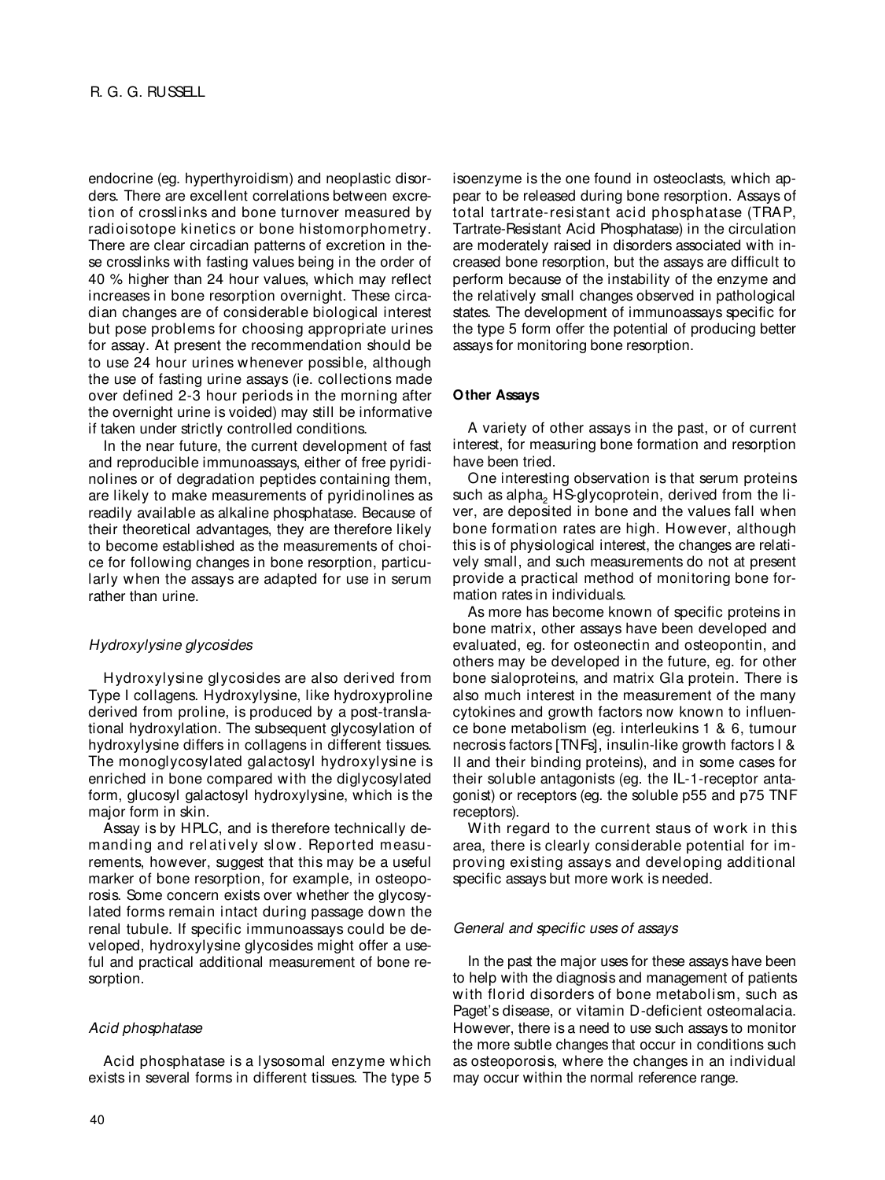endocrine (eg. hyperthyroidism) and neoplastic disorders. There are excellent correlations between excretion of crosslinks and bone turnover measured by radioisotope kinetics or bone histomorphometry. There are clear circadian patterns of excretion in these crosslinks with fasting values being in the order of 40 % higher than 24 hour values, which may reflect increases in bone resorption overnight. These circadian changes are of considerable biological interest but pose problems for choosing appropriate urines for assay. At present the recommendation should be to use 24 hour urines whenever possible, although the use of fasting urine assays (ie. collections made over defined 2-3 hour periods in the morning after the overnight urine is voided) may still be informative if taken under strictly controlled conditions.

In the near future, the current development of fast and reproducible immunoassays, either of free pyridinolines or of degradation peptides containing them, are likely to make measurements of pyridinolines as readily available as alkaline phosphatase. Because of their theoretical advantages, they are therefore likely to become established as the measurements of choice for following changes in bone resorption, particularly when the assays are adapted for use in serum rather than urine.

# Hydroxylysine glycosides

Hydroxylysine glycosides are also derived from Type I collagens. Hydroxylysine, like hydroxyproline derived from proline, is produced by a post-translational hydroxylation. The subsequent glycosylation of hydroxylysine differs in collagens in different tissues. The monoglycosylated galactosyl hydroxylysine is enriched in bone compared with the diglycosylated form, glucosyl galactosyl hydroxylysine, which is the major form in skin.

Assay is by HPLC, and is therefore technically demanding and relatively slow. Reported measurements, however, suggest that this may be a useful marker of bone resorption, for example, in osteoporosis. Some concern exists over whether the glycosylated forms remain intact during passage down the renal tubule. If specific immunoassays could be developed, hydroxylysine glycosides might offer a useful and practical additional measurement of bone resorption.

## Acid phosphatase

Acid phosphatase is a lysosomal enzyme which exists in several forms in different tissues. The type 5 isoenzyme is the one found in osteoclasts, which appear to be released during bone resorption. Assays of total tartrate-resistant acid phosphatase (TRAP, Tartrate-Resistant Acid Phosphatase) in the circulation are moderately raised in disorders associated with increased bone resorption, but the assays are difficult to perform because of the instability of the enzyme and the relatively small changes observed in pathological states. The development of immunoassays specific for the type 5 form offer the potential of producing better assays for monitoring bone resorption.

## **Other Assays**

A variety of other assays in the past, or of current interest, for measuring bone formation and resorption have been tried.

One interesting observation is that serum proteins such as alpha<sub>2</sub> HS-glycoprotein, derived from the liver, are deposited in bone and the values fall when bone formation rates are high. However, although this is of physiological interest, the changes are relatively small, and such measurements do not at present provide a practical method of monitoring bone formation rates in individuals.

As more has become known of specific proteins in bone matrix, other assays have been developed and evaluated, eg. for osteonectin and osteopontin, and others may be developed in the future, eg. for other bone sialoproteins, and matrix Gla protein. There is also much interest in the measurement of the many cytokines and growth factors now known to influence bone metabolism (eg. interleukins 1 & 6, tumour necrosis factors [TNFs], insulin-like growth factors I & II and their binding proteins), and in some cases for their soluble antagonists (eg. the IL-1-receptor antagonist) or receptors (eg. the soluble p55 and p75 TNF receptors).

With regard to the current staus of work in this area, there is clearly considerable potential for improving existing assays and developing additional specific assays but more work is needed.

## General and specific uses of assays

In the past the major uses for these assays have been to help with the diagnosis and management of patients with florid disorders of bone metabolism, such as Paget's disease, or vitamin D-deficient osteomalacia. However, there is a need to use such assays to monitor the more subtle changes that occur in conditions such as osteoporosis, where the changes in an individual may occur within the normal reference range.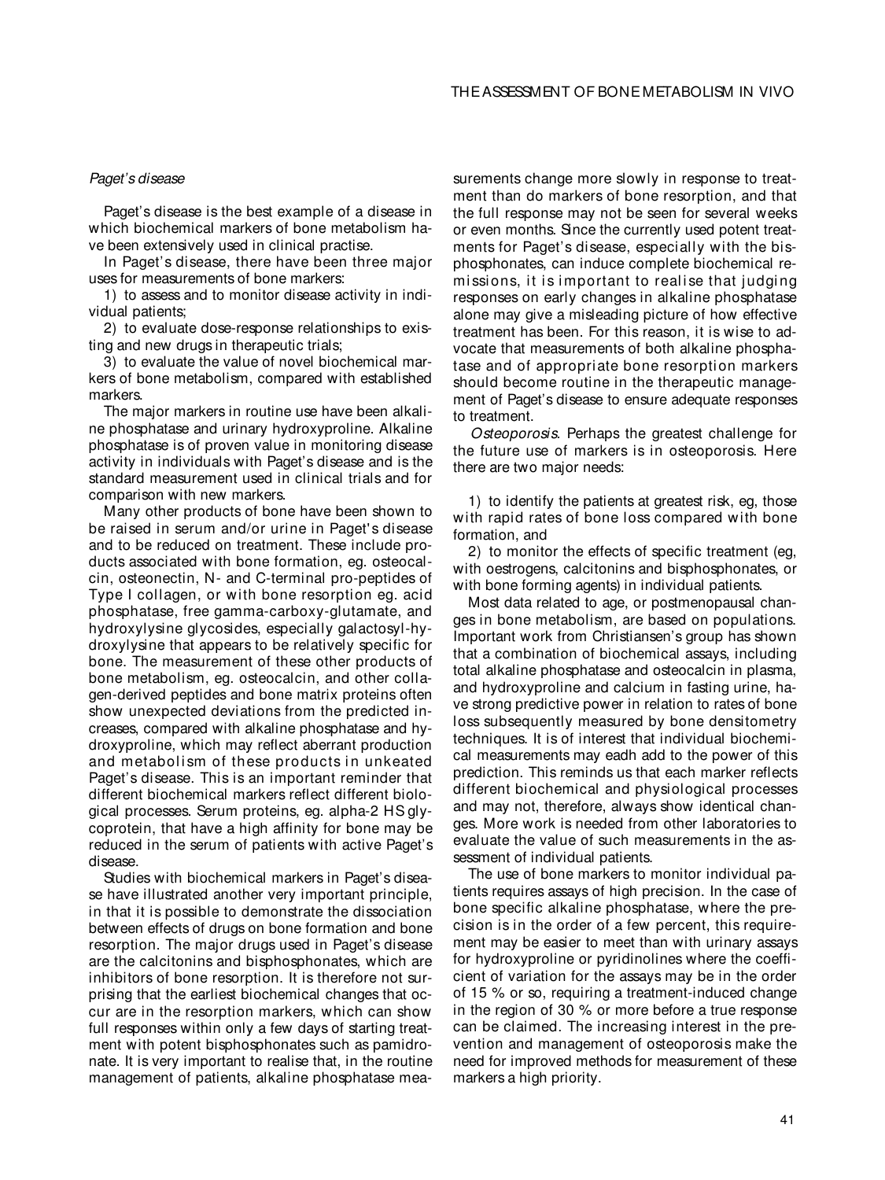## Paget's disease

Paget's disease is the best example of a disease in which biochemical markers of bone metabolism have been extensively used in clinical practise.

In Paget's disease, there have been three major uses for measurements of bone markers:

1) to assess and to monitor disease activity in individual patients;

2) to evaluate dose-response relationships to existing and new drugs in therapeutic trials;

3) to evaluate the value of novel biochemical markers of bone metabolism, compared with established markers.

The major markers in routine use have been alkaline phosphatase and urinary hydroxyproline. Alkaline phosphatase is of proven value in monitoring disease activity in individuals with Paget's disease and is the standard measurement used in clinical trials and for comparison with new markers.

Many other products of bone have been shown to be raised in serum and/or urine in Paget's disease and to be reduced on treatment. These include products associated with bone formation, eg. osteocalcin, osteonectin, N- and C-terminal pro-peptides of Type I collagen, or with bone resorption eg. acid phosphatase, free gamma-carboxy-glutamate, and hydroxylysine glycosides, especially galactosyl-hydroxylysine that appears to be relatively specific for bone. The measurement of these other products of bone metabolism, eg. osteocalcin, and other collagen-derived peptides and bone matrix proteins often show unexpected deviations from the predicted increases, compared with alkaline phosphatase and hydroxyproline, which may reflect aberrant production and metabolism of these products in unkeated Paget's disease. This is an important reminder that different biochemical markers reflect different biological processes. Serum proteins, eg. alpha-2 HS glycoprotein, that have a high affinity for bone may be reduced in the serum of patients with active Paget's disease.

Studies with biochemical markers in Paget's disease have illustrated another very important principle, in that it is possible to demonstrate the dissociation between effects of drugs on bone formation and bone resorption. The major drugs used in Paget's disease are the calcitonins and bisphosphonates, which are inhibitors of bone resorption. It is therefore not surprising that the earliest biochemical changes that occur are in the resorption markers, which can show full responses within only a few days of starting treatment with potent bisphosphonates such as pamidronate. It is very important to realise that, in the routine management of patients, alkaline phosphatase mea-

surements change more slowly in response to treatment than do markers of bone resorption, and that the full response may not be seen for several weeks or even months. Since the currently used potent treatments for Paget's disease, especially with the bisphosphonates, can induce complete biochemical remissions, it is important to realise that judging responses on early changes in alkaline phosphatase alone may give a misleading picture of how effective treatment has been. For this reason, it is wise to advocate that measurements of both alkaline phosphatase and of appropriate bone resorption markers should become routine in the therapeutic management of Paget's disease to ensure adequate responses to treatment.

Osteoporosis. Perhaps the greatest challenge for the future use of markers is in osteoporosis. Here there are two major needs:

1) to identify the patients at greatest risk, eg, those with rapid rates of bone loss compared with bone formation, and

2) to monitor the effects of specific treatment (eg, with oestrogens, calcitonins and bisphosphonates, or with bone forming agents) in individual patients.

Most data related to age, or postmenopausal changes in bone metabolism, are based on populations. Important work from Christiansen's group has shown that a combination of biochemical assays, including total alkaline phosphatase and osteocalcin in plasma, and hydroxyproline and calcium in fasting urine, have strong predictive power in relation to rates of bone loss subsequently measured by bone densitometry techniques. It is of interest that individual biochemical measurements may eadh add to the power of this prediction. This reminds us that each marker reflects different biochemical and physiological processes and may not, therefore, always show identical changes. More work is needed from other laboratories to evaluate the value of such measurements in the assessment of individual patients.

The use of bone markers to monitor individual patients requires assays of high precision. In the case of bone specific alkaline phosphatase, where the precision is in the order of a few percent, this requirement may be easier to meet than with urinary assays for hydroxyproline or pyridinolines where the coefficient of variation for the assays may be in the order of 15 % or so, requiring a treatment-induced change in the region of 30 % or more before a true response can be claimed. The increasing interest in the prevention and management of osteoporosis make the need for improved methods for measurement of these markers a high priority.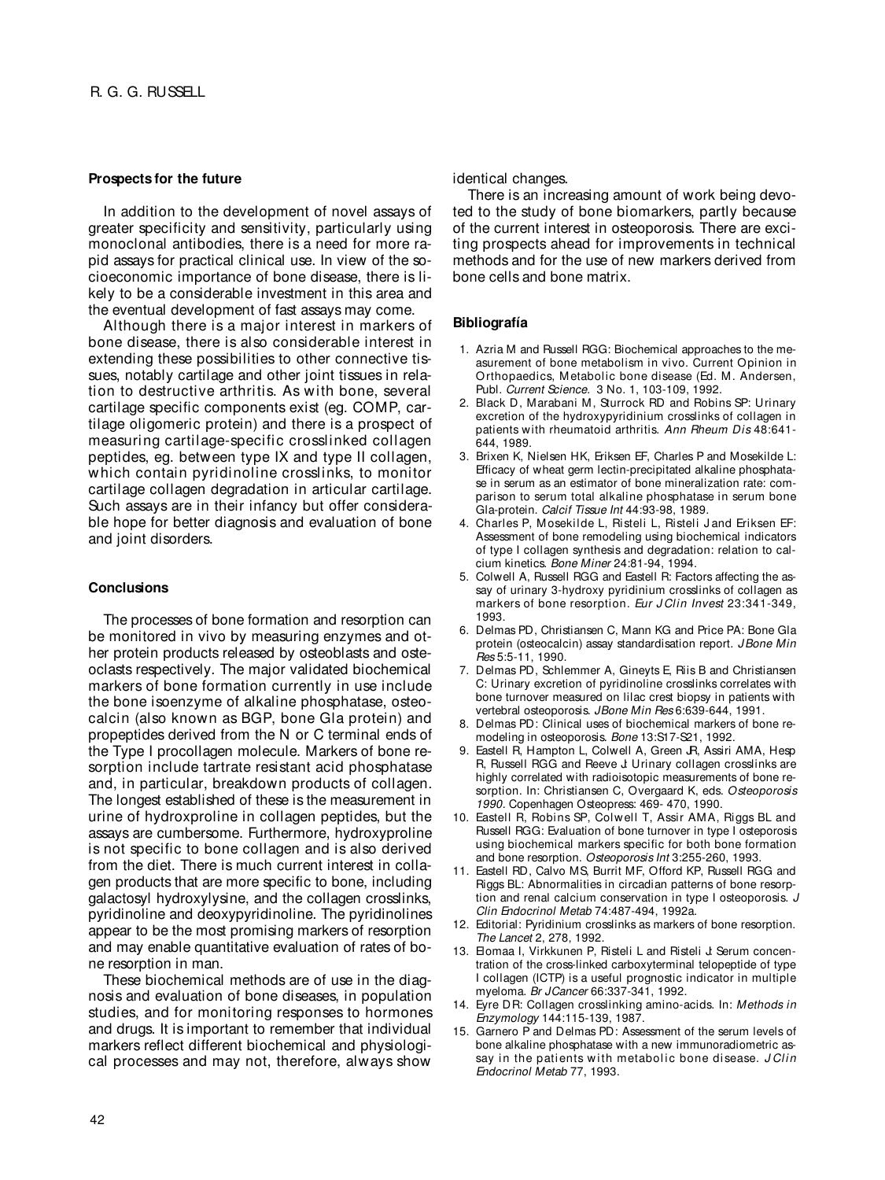## **Prospects for the future**

In addition to the development of novel assays of greater specificity and sensitivity, particularly using monoclonal antibodies, there is a need for more rapid assays for practical clinical use. In view of the socioeconomic importance of bone disease, there is likely to be a considerable investment in this area and the eventual development of fast assays may come.

Although there is a major interest in markers of bone disease, there is also considerable interest in extending these possibilities to other connective tissues, notably cartilage and other joint tissues in relation to destructive arthritis. As with bone, several cartilage specific components exist (eg. COMP, cartilage oligomeric protein) and there is a prospect of measuring cartilage-specific crosslinked collagen peptides, eg. between type IX and type II collagen, which contain pyridinoline crosslinks, to monitor cartilage collagen degradation in articular cartilage. Such assays are in their infancy but offer considerable hope for better diagnosis and evaluation of bone and joint disorders.

# **Conclusions**

The processes of bone formation and resorption can be monitored in vivo by measuring enzymes and other protein products released by osteoblasts and osteoclasts respectively. The major validated biochemical markers of bone formation currently in use include the bone isoenzyme of alkaline phosphatase, osteocalcin (also known as BGP, bone Gla protein) and propeptides derived from the N or C terminal ends of the Type I procollagen molecule. Markers of bone resorption include tartrate resistant acid phosphatase and, in particular, breakdown products of collagen. The longest established of these is the measurement in urine of hydroxproline in collagen peptides, but the assays are cumbersome. Furthermore, hydroxyproline is not specific to bone collagen and is also derived from the diet. There is much current interest in collagen products that are more specific to bone, including galactosyl hydroxylysine, and the collagen crosslinks, pyridinoline and deoxypyridinoline. The pyridinolines appear to be the most promising markers of resorption and may enable quantitative evaluation of rates of bone resorption in man.

These biochemical methods are of use in the diagnosis and evaluation of bone diseases, in population studies, and for monitoring responses to hormones and drugs. It is important to remember that individual markers reflect different biochemical and physiological processes and may not, therefore, always show

identical changes.

There is an increasing amount of work being devoted to the study of bone biomarkers, partly because of the current interest in osteoporosis. There are exciting prospects ahead for improvements in technical methods and for the use of new markers derived from bone cells and bone matrix.

## **Bibliografía**

- 1. Azria M and Russell RGG: Biochemical approaches to the measurement of bone metabolism in vivo. Current Opinion in Orthopaedics, Metabolic bone disease (Ed. M. Andersen, Publ. Current Science. 3 No. 1, 103-109, 1992.
- 2. Black D, Marabani M, Sturrock RD and Robins SP: Urinary excretion of the hydroxypyridinium crosslinks of collagen in patients with rheumatoid arthritis. Ann Rheum Dis 48:641- 644, 1989.
- 3. Brixen K, Nielsen HK, Eriksen EF, Charles P and Mosekilde L: Efficacy of wheat germ lectin-precipitated alkaline phosphatase in serum as an estimator of bone mineralization rate: comparison to serum total alkaline phosphatase in serum bone Gla-protein. Calcif Tissue Int 44:93-98, 1989.
- 4. Charles P, Mosekilde L, Risteli L, Risteli J and Eriksen EF: Assessment of bone remodeling using biochemical indicators of type I collagen synthesis and degradation: relation to calcium kinetics. Bone Miner 24:81-94, 1994.
- 5. Colwell A, Russell RGG and Eastell R: Factors affecting the assay of urinary 3-hydroxy pyridinium crosslinks of collagen as markers of bone resorption. Eur J Clin Invest 23:341-349, 1993.
- 6. Delmas PD, Christiansen C, Mann KG and Price PA: Bone Gla protein (osteocalcin) assay standardisation report. JBone Min Res 5:5-11, 1990.
- 7. Delmas PD, Schlemmer A, Gineyts E, Riis B and Christiansen C: Urinary excretion of pyridinoline crosslinks correlates with bone turnover measured on lilac crest biopsy in patients with vertebral osteoporosis. JBone Min Res 6:639-644, 1991.
- 8. Delmas PD: Clinical uses of biochemical markers of bone remodeling in osteoporosis. Bone 13:S17-S21, 1992.
- 9. Eastell R, Hampton L, Colwell A, Green JR, Assiri AMA, Hesp R, Russell RGG and Reeve J: Urinary collagen crosslinks are highly correlated with radioisotopic measurements of bone resorption. In: Christiansen C, Overgaard K, eds. Osteoporosis 1990. Copenhagen Osteopress: 469- 470, 1990.
- 10. Eastell R, Robins SP, Colwell T, Assir AMA, Riggs BL and Russell RGG: Evaluation of bone turnover in type I osteporosis using biochemical markers specific for both bone formation and bone resorption. Osteoporosis Int 3:255-260, 1993.
- 11. Eastell RD, Calvo MS, Burrit MF, Offord KP, Russell RGG and Riggs BL: Abnormalities in circadian patterns of bone resorption and renal calcium conservation in type I osteoporosis. J Clin Endocrinol Metab 74:487-494, 1992a.
- 12. Editorial: Pyridinium crosslinks as markers of bone resorption. The Lancet 2, 278, 1992.
- 13. Elomaa I, Virkkunen P, Risteli L and Risteli J Serum concentration of the cross-linked carboxyterminal telopeptide of type I collagen (ICTP) is a useful prognostic indicator in multiple myeloma. Br J Cancer 66:337-341, 1992.
- 14. Eyre DR: Collagen crosslinking amino-acids. In: Methods in Enzymology 144:115-139, 1987.
- 15. Garnero P and Delmas PD: Assessment of the serum levels of bone alkaline phosphatase with a new immunoradiometric assay in the patients with metabolic bone disease. JClin Endocrinol Metab 77, 1993.